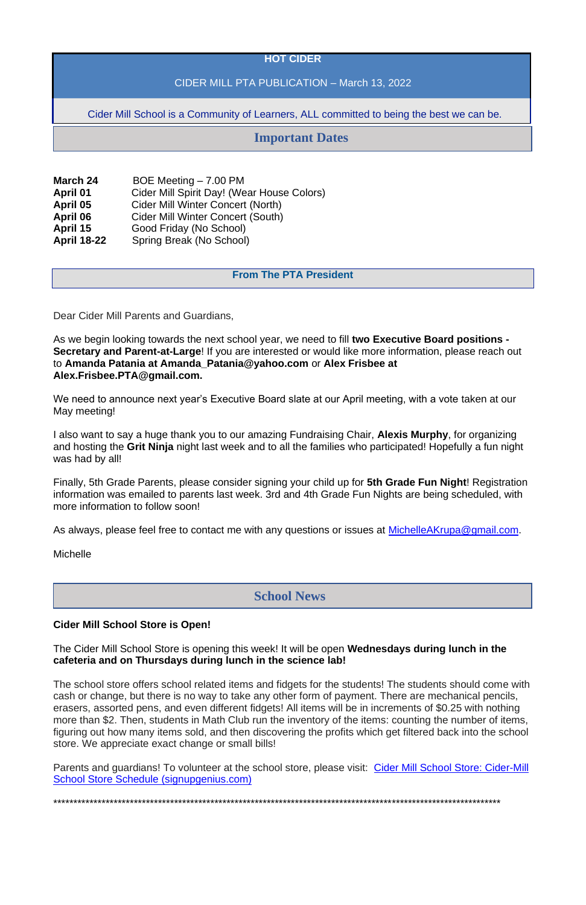### **HOT CIDER**

## CIDER MILL PTA PUBLICATION – March 13, 2022

Cider Mill School is a Community of Learners, ALL committed to being the best we can be.

| <b>March 24</b>    | BOE Meeting - 7.00 PM                             |
|--------------------|---------------------------------------------------|
| <b>April 01</b>    | <b>Cider Mill Spirit Day! (Wear House Colors)</b> |
| April 05           | <b>Cider Mill Winter Concert (North)</b>          |
| April 06           | <b>Cider Mill Winter Concert (South)</b>          |
| April 15           | Good Friday (No School)                           |
| <b>April 18-22</b> | Spring Break (No School)                          |

### **From The PTA President**

Dear Cider Mill Parents and Guardians,

As we begin looking towards the next school year, we need to fill **two Executive Board positions - Secretary and Parent-at-Large**! If you are interested or would like more information, please reach out to **Amanda Patania at Amanda\_Patania@yahoo.com** or **Alex Frisbee at Alex.Frisbee.PTA@gmail.com.**

We need to announce next year's Executive Board slate at our April meeting, with a vote taken at our May meeting!

I also want to say a huge thank you to our amazing Fundraising Chair, **Alexis Murphy**, for organizing and hosting the **Grit Ninja** night last week and to all the families who participated! Hopefully a fun night was had by all!

Finally, 5th Grade Parents, please consider signing your child up for **5th Grade Fun Night**! Registration information was emailed to parents last week. 3rd and 4th Grade Fun Nights are being scheduled, with more information to follow soon!

As always, please feel free to contact me with any questions or issues at [MichelleAKrupa@gmail.com.](mailto:MichelleAKrupa@gmail.com)

**Michelle** 

#### **Cider Mill School Store is Open!**

The Cider Mill School Store is opening this week! It will be open **Wednesdays during lunch in the cafeteria and on Thursdays during lunch in the science lab!**

The school store offers school related items and fidgets for the students! The students should come with cash or change, but there is no way to take any other form of payment. There are mechanical pencils, erasers, assorted pens, and even different fidgets! All items will be in increments of \$0.25 with nothing more than \$2. Then, students in Math Club run the inventory of the items: counting the number of items, figuring out how many items sold, and then discovering the profits which get filtered back into the school store. We appreciate exact change or small bills!

Parents and guardians! To volunteer at the school store, please visit: [Cider Mill School Store: Cider-Mill](https://www.signupgenius.com/go/30e0d49afa82fa3f85-cidermill)  [School Store Schedule \(signupgenius.com\)](https://www.signupgenius.com/go/30e0d49afa82fa3f85-cidermill)

\*\*\*\*\*\*\*\*\*\*\*\*\*\*\*\*\*\*\*\*\*\*\*\*\*\*\*\*\*\*\*\*\*\*\*\*\*\*\*\*\*\*\*\*\*\*\*\*\*\*\*\*\*\*\*\*\*\*\*\*\*\*\*\*\*\*\*\*\*\*\*\*\*\*\*\*\*\*\*\*\*\*\*\*\*\*\*\*\*\*\*\*\*\*\*\*\*\*\*\*\*\*\*\*\*\*\*\*\*\*\*

# **Important Dates**

## **School News**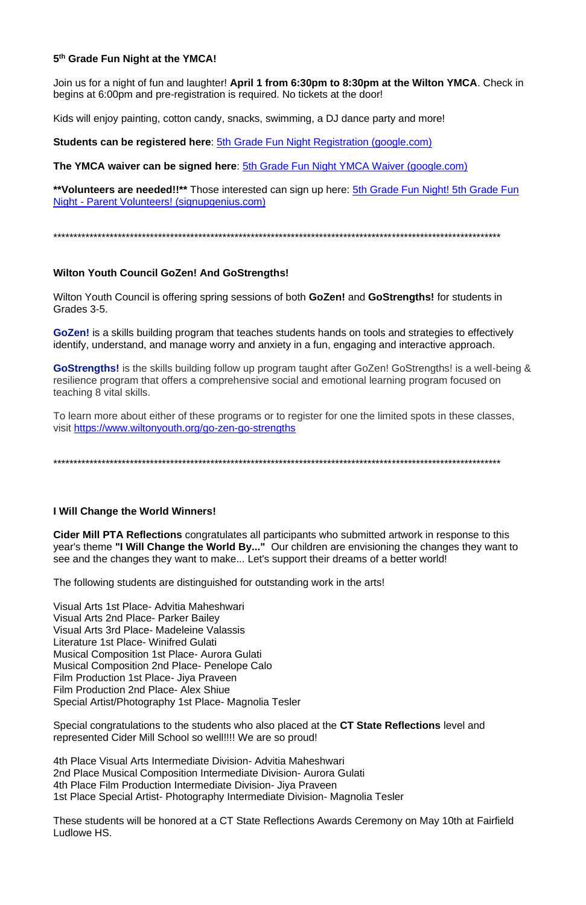## 5th Grade Fun Night at the YMCA!

Join us for a night of fun and laughter! April 1 from 6:30pm to 8:30pm at the Wilton YMCA. Check in begins at 6:00pm and pre-registration is required. No tickets at the door!

Kids will enjoy painting, cotton candy, snacks, swimming, a DJ dance party and more!

**Students can be registered here: 5th Grade Fun Night Registration (google.com)** 

The YMCA waiver can be signed here: 5th Grade Fun Night YMCA Waiver (google.com)

\*\* Volunteers are needed!!\*\* Those interested can sign up here: 5th Grade Fun Night! 5th Grade Fun Night - Parent Volunteers! (signupgenius.com)

## **Wilton Youth Council GoZen! And GoStrengths!**

Wilton Youth Council is offering spring sessions of both GoZen! and GoStrengths! for students in Grades 3-5.

GoZen! is a skills building program that teaches students hands on tools and strategies to effectively identify, understand, and manage worry and anxiety in a fun, engaging and interactive approach.

GoStrengths! is the skills building follow up program taught after GoZen! GoStrengths! is a well-being & resilience program that offers a comprehensive social and emotional learning program focused on teaching 8 vital skills.

To learn more about either of these programs or to register for one the limited spots in these classes, visit https://www.wiltonyouth.org/go-zen-go-strengths

## I Will Change the World Winners!

Cider Mill PTA Reflections congratulates all participants who submitted artwork in response to this year's theme "I Will Change the World By..." Our children are envisioning the changes they want to see and the changes they want to make... Let's support their dreams of a better world!

The following students are distinguished for outstanding work in the arts!

Visual Arts 1st Place- Advitia Maheshwari Visual Arts 2nd Place- Parker Bailey Visual Arts 3rd Place- Madeleine Valassis Literature 1st Place- Winifred Gulati **Musical Composition 1st Place- Aurora Gulati Musical Composition 2nd Place- Penelope Calo** Film Production 1st Place- Jiya Praveen Film Production 2nd Place- Alex Shiue Special Artist/Photography 1st Place- Magnolia Tesler

Special congratulations to the students who also placed at the CT State Reflections level and represented Cider Mill School so well!!!! We are so proud!

4th Place Visual Arts Intermediate Division- Advitia Maheshwari 2nd Place Musical Composition Intermediate Division-Aurora Gulati 4th Place Film Production Intermediate Division- Jiya Praveen 1st Place Special Artist- Photography Intermediate Division- Magnolia Tesler

These students will be honored at a CT State Reflections Awards Ceremony on May 10th at Fairfield Ludlowe HS.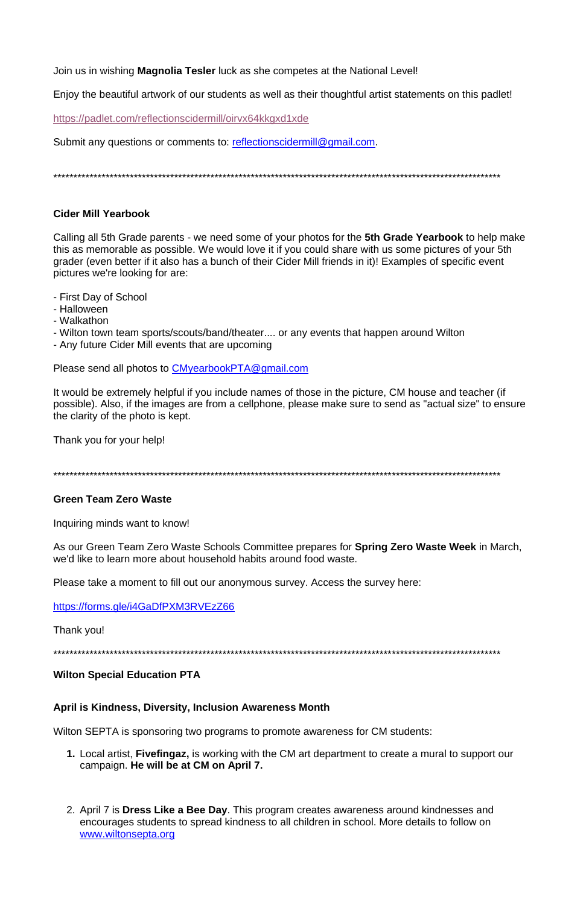Join us in wishing **Magnolia Tesler** luck as she competes at the National Level!

Enjoy the beautiful artwork of our students as well as their thoughtful artist statements on this padlet!

https://padlet.com/reflectionscidermill/oirvx64kkgxd1xde

Submit any questions or comments to: reflectionscidermill@gmail.com.

### **Cider Mill Yearbook**

Calling all 5th Grade parents - we need some of your photos for the 5th Grade Yearbook to help make this as memorable as possible. We would love it if you could share with us some pictures of your 5th grader (even better if it also has a bunch of their Cider Mill friends in it)! Examples of specific event pictures we're looking for are:

- First Day of School
- Halloween
- Walkathon
- Wilton town team sports/scouts/band/theater.... or any events that happen around Wilton
- Any future Cider Mill events that are upcoming

Please send all photos to CMyearbookPTA@gmail.com

It would be extremely helpful if you include names of those in the picture, CM house and teacher (if possible). Also, if the images are from a cellphone, please make sure to send as "actual size" to ensure the clarity of the photo is kept.

Thank you for your help!

## **Green Team Zero Waste**

Inquiring minds want to know!

As our Green Team Zero Waste Schools Committee prepares for Spring Zero Waste Week in March, we'd like to learn more about household habits around food waste.

Please take a moment to fill out our anonymous survey. Access the survey here:

https://forms.gle/i4GaDfPXM3RVEzZ66

Thank you!

#### **Wilton Special Education PTA**

#### April is Kindness, Diversity, Inclusion Awareness Month

Wilton SEPTA is sponsoring two programs to promote awareness for CM students:

- 1. Local artist, Fivefingaz, is working with the CM art department to create a mural to support our campaign. He will be at CM on April 7.
- 2. April 7 is Dress Like a Bee Day. This program creates awareness around kindnesses and encourages students to spread kindness to all children in school. More details to follow on www.wiltonsepta.org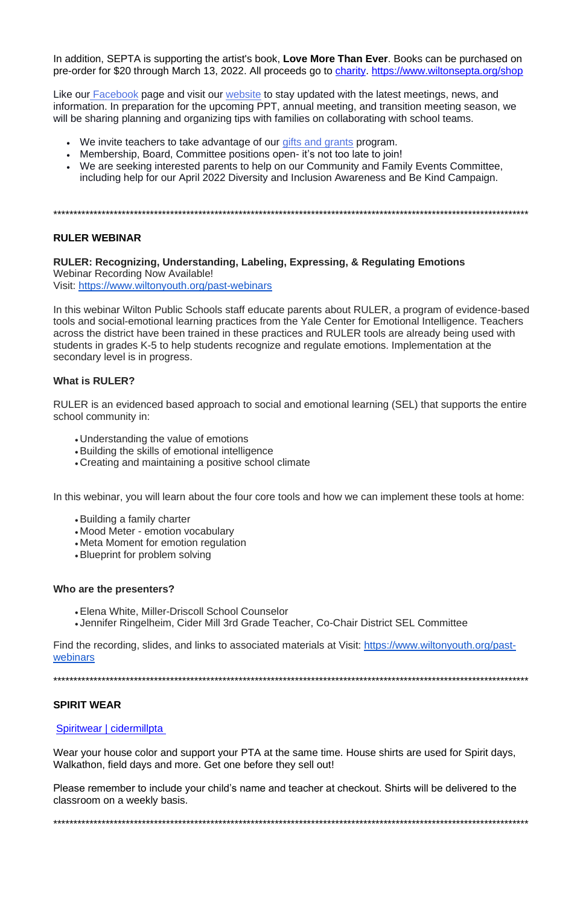In addition, SEPTA is supporting the artist's book, **Love More Than Ever**. Books can be purchased on pre-order for \$20 through March 13, 2022. All proceeds go to [charity.](https://lovemorethanever.com/pages/scholarship) <https://www.wiltonsepta.org/shop>

Like our [Facebook](https://www.facebook.com/WiltonSEPTA) page and visit our [website](http://www.wiltonsepta.org/) to stay updated with the latest meetings, news, and information. In preparation for the upcoming PPT, annual meeting, and transition meeting season, we will be sharing planning and organizing tips with families on collaborating with school teams.

- We invite teachers to take advantage of our [gifts and grants](https://www.wiltonsepta.org/gifts-grants) program.
- Membership, Board, Committee positions open- it's not too late to join!
- We are seeking interested parents to help on our Community and Family Events Committee, including help for our April 2022 Diversity and Inclusion Awareness and Be Kind Campaign.

\*\*\*\*\*\*\*\*\*\*\*\*\*\*\*\*\*\*\*\*\*\*\*\*\*\*\*\*\*\*\*\*\*\*\*\*\*\*\*\*\*\*\*\*\*\*\*\*\*\*\*\*\*\*\*\*\*\*\*\*\*\*\*\*\*\*\*\*\*\*\*\*\*\*\*\*\*\*\*\*\*\*\*\*\*\*\*\*\*\*\*\*\*\*\*\*\*\*\*\*\*\*\*\*\*\*\*\*\*\*\*\*\*\*\*\*\*\*

## **RULER WEBINAR**

**RULER: Recognizing, Understanding, Labeling, Expressing, & Regulating Emotions** Webinar Recording Now Available! Visit: <https://www.wiltonyouth.org/past-webinars>

In this webinar Wilton Public Schools staff educate parents about RULER, a program of evidence-based tools and social-emotional learning practices from the Yale Center for Emotional Intelligence. Teachers across the district have been trained in these practices and RULER tools are already being used with students in grades K-5 to help students recognize and regulate emotions. Implementation at the secondary level is in progress.

## **What is RULER?**

RULER is an evidenced based approach to social and emotional learning (SEL) that supports the entire school community in:

- Understanding the value of emotions
- •Building the skills of emotional intelligence
- Creating and maintaining a positive school climate

In this webinar, you will learn about the four core tools and how we can implement these tools at home:

- •Building a family charter
- Mood Meter emotion vocabulary
- Meta Moment for emotion regulation
- •Blueprint for problem solving

#### **Who are the presenters?**

- •Elena White, Miller-Driscoll School Counselor
- Jennifer Ringelheim, Cider Mill 3rd Grade Teacher, Co-Chair District SEL Committee

Find the recording, slides, and links to associated materials at Visit: [https://www.wiltonyouth.org/past](https://www.wiltonyouth.org/past-webinars)[webinars](https://www.wiltonyouth.org/past-webinars)

#### **SPIRIT WEAR**

[Spiritwear | cidermillpta](https://www.cidermillpta.org/spiritwear)

Wear your house color and support your PTA at the same time. House shirts are used for Spirit days, Walkathon, field days and more. Get one before they sell out!

Please remember to include your child's name and teacher at checkout. Shirts will be delivered to the classroom on a weekly basis.

\*\*\*\*\*\*\*\*\*\*\*\*\*\*\*\*\*\*\*\*\*\*\*\*\*\*\*\*\*\*\*\*\*\*\*\*\*\*\*\*\*\*\*\*\*\*\*\*\*\*\*\*\*\*\*\*\*\*\*\*\*\*\*\*\*\*\*\*\*\*\*\*\*\*\*\*\*\*\*\*\*\*\*\*\*\*\*\*\*\*\*\*\*\*\*\*\*\*\*\*\*\*\*\*\*\*\*\*\*\*\*\*\*\*\*\*\*\*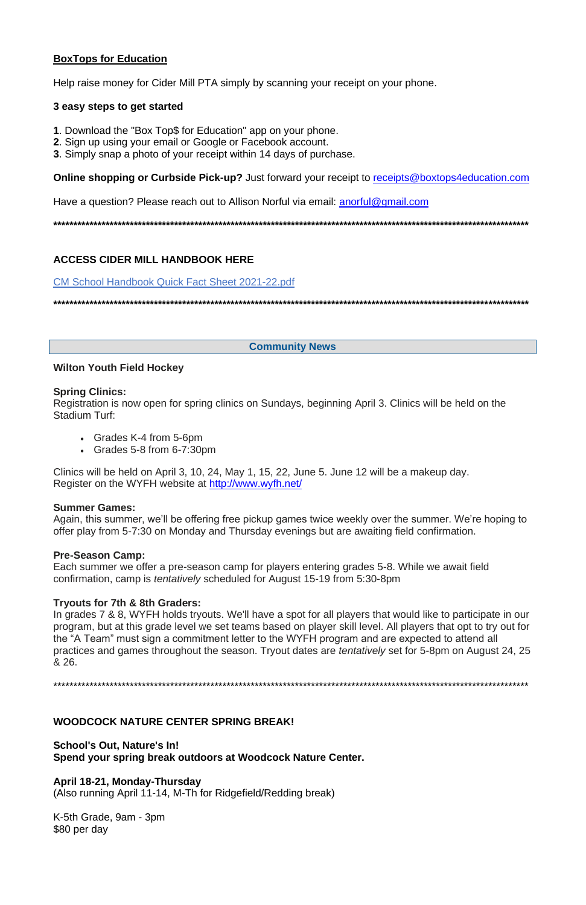## **BoxTops for Education**

Help raise money for Cider Mill PTA simply by scanning your receipt on your phone.

### 3 easy steps to get started

- 1. Download the "Box Top\$ for Education" app on your phone.
- 2. Sign up using your email or Google or Facebook account.
- 3. Simply snap a photo of your receipt within 14 days of purchase.

**Online shopping or Curbside Pick-up?** Just forward your receipt to receipts@boxtops4education.com

Have a question? Please reach out to Allison Norful via email: anorful@gmail.com

## **ACCESS CIDER MILL HANDBOOK HERE**

**CM School Handbook Quick Fact Sheet 2021-22.pdf** 

**Community News** 

## **Wilton Youth Field Hockey**

#### **Spring Clinics:**

Registration is now open for spring clinics on Sundays, beginning April 3. Clinics will be held on the **Stadium Turf:** 

- Grades K-4 from 5-6pm
- Grades  $5-8$  from  $6-7:30$ pm

Clinics will be held on April 3, 10, 24, May 1, 15, 22, June 5. June 12 will be a makeup day. Register on the WYFH website at http://www.wyfh.net/

#### **Summer Games:**

Again, this summer, we'll be offering free pickup games twice weekly over the summer. We're hoping to offer play from 5-7:30 on Monday and Thursday evenings but are awaiting field confirmation.

## **Pre-Season Camp:**

Each summer we offer a pre-season camp for players entering grades 5-8. While we await field confirmation, camp is *tentatively* scheduled for August 15-19 from 5:30-8pm

## Tryouts for 7th & 8th Graders:

In grades 7 & 8, WYFH holds tryouts. We'll have a spot for all players that would like to participate in our program, but at this grade level we set teams based on player skill level. All players that opt to try out for the "A Team" must sign a commitment letter to the WYFH program and are expected to attend all practices and games throughout the season. Tryout dates are *tentatively* set for 5-8pm on August 24, 25 & 26.

#### **WOODCOCK NATURE CENTER SPRING BREAK!**

**School's Out, Nature's In!** Spend your spring break outdoors at Woodcock Nature Center.

April 18-21, Monday-Thursday (Also running April 11-14, M-Th for Ridgefield/Redding break)

K-5th Grade, 9am - 3pm \$80 per day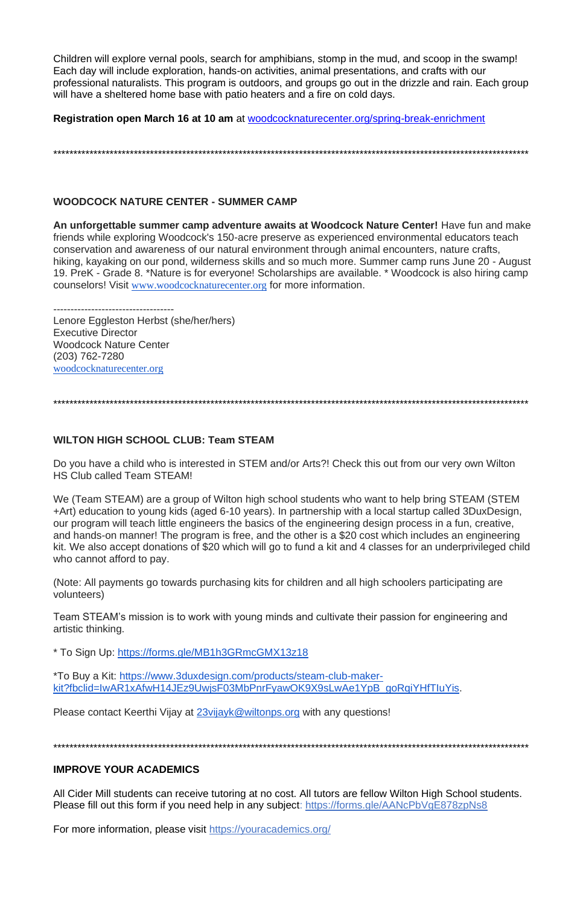Children will explore vernal pools, search for amphibians, stomp in the mud, and scoop in the swamp! Each day will include exploration, hands-on activities, animal presentations, and crafts with our professional naturalists. This program is outdoors, and groups go out in the drizzle and rain. Each group will have a sheltered home base with patio heaters and a fire on cold days.

Registration open March 16 at 10 am at woodcocknaturecenter.org/spring-break-enrichment

## **WOODCOCK NATURE CENTER - SUMMER CAMP**

An unforgettable summer camp adventure awaits at Woodcock Nature Center! Have fun and make friends while exploring Woodcock's 150-acre preserve as experienced environmental educators teach conservation and awareness of our natural environment through animal encounters, nature crafts, hiking, kayaking on our pond, wilderness skills and so much more. Summer camp runs June 20 - August 19. PreK - Grade 8. \*Nature is for everyone! Scholarships are available. \* Woodcock is also hiring camp counselors! Visit www.woodcocknaturecenter.org for more information.

--------------------------------

Lenore Eggleston Herbst (she/her/hers) **Executive Director Woodcock Nature Center**  $(203)$  762-7280 woodcocknaturecenter.org

## **WILTON HIGH SCHOOL CLUB: Team STEAM**

Do you have a child who is interested in STEM and/or Arts?! Check this out from our very own Wilton HS Club called Team STEAM!

We (Team STEAM) are a group of Wilton high school students who want to help bring STEAM (STEM +Art) education to young kids (aged 6-10 years). In partnership with a local startup called 3DuxDesign, our program will teach little engineers the basics of the engineering design process in a fun, creative, and hands-on manner! The program is free, and the other is a \$20 cost which includes an engineering kit. We also accept donations of \$20 which will go to fund a kit and 4 classes for an underprivileged child who cannot afford to pay.

(Note: All payments go towards purchasing kits for children and all high schoolers participating are volunteers)

Team STEAM's mission is to work with young minds and cultivate their passion for engineering and artistic thinking.

\* To Sign Up: https://forms.gle/MB1h3GRmcGMX13z18

\*To Buy a Kit: https://www.3duxdesign.com/products/steam-club-makerkit?fbclid=IwAR1xAfwH14JEz9UwjsF03MbPnrFyawOK9X9sLwAe1YpB\_qoRqiYHfTluYis.

Please contact Keerthi Vijay at 23vijayk@wiltonps.org with any questions!

### **IMPROVE YOUR ACADEMICS**

All Cider Mill students can receive tutoring at no cost. All tutors are fellow Wilton High School students. Please fill out this form if you need help in any subject: https://forms.gle/AANcPbVgE878zpNs8

For more information, please visit https://youracademics.org/